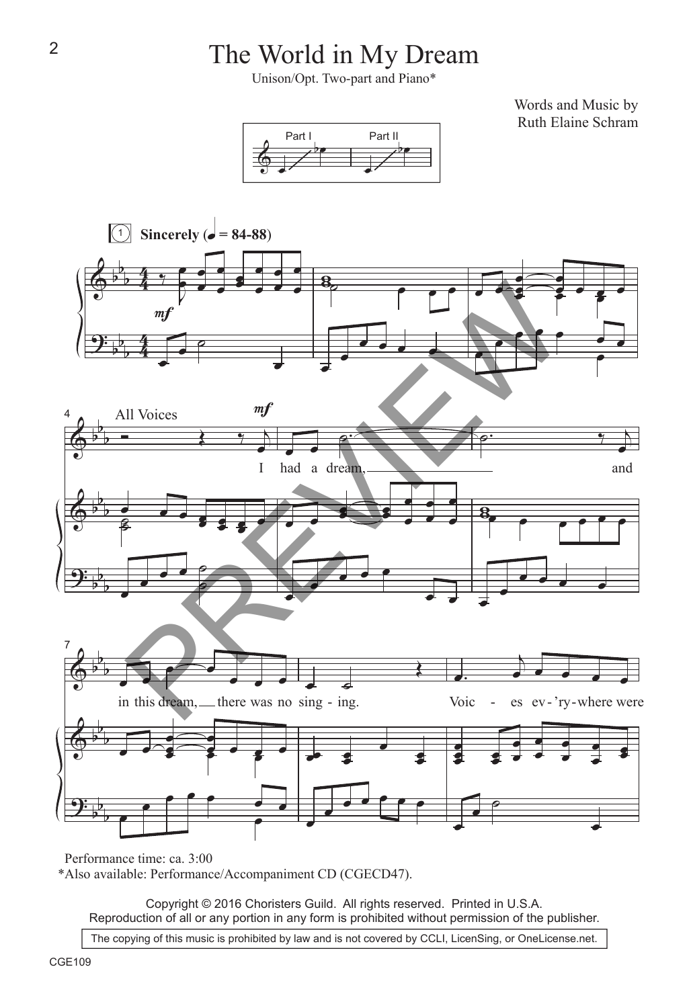## The World in My Dream

Unison/Opt. Two-part and Piano\*

Words and Music by Ruth Elaine Schram





Performance time: ca. 3:00

\*Also available: Performance/Accompaniment CD (CGECD47).

Copyright © 2016 Choristers Guild. All rights reserved. Printed in U.S.A. Reproduction of all or any portion in any form is prohibited without permission of the publisher.

The copying of this music is prohibited by law and is not covered by CCLI, LicenSing, or OneLicense.net.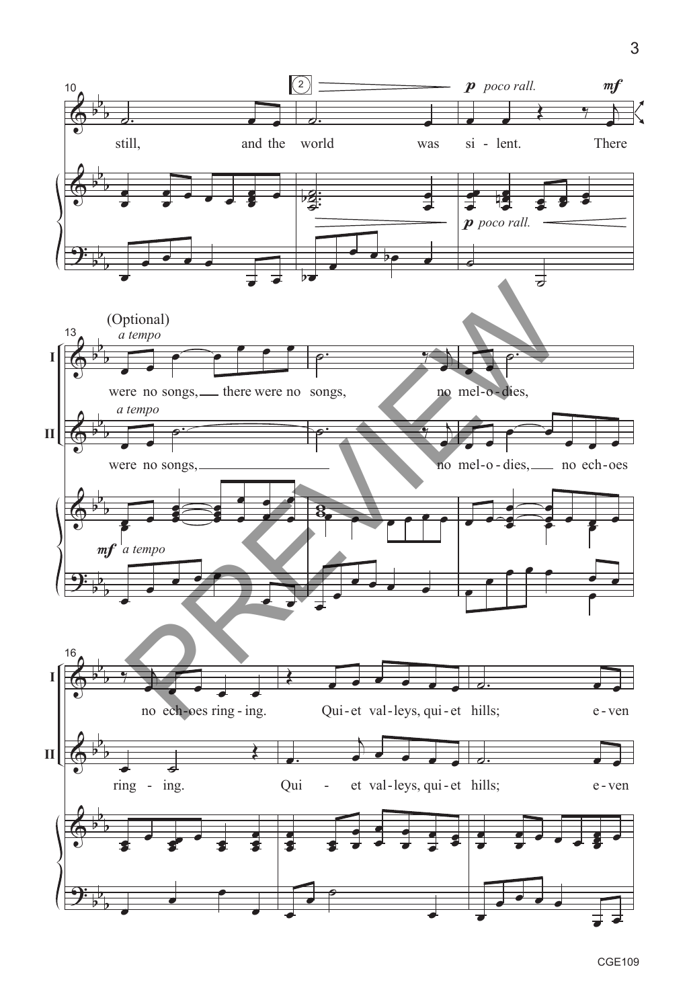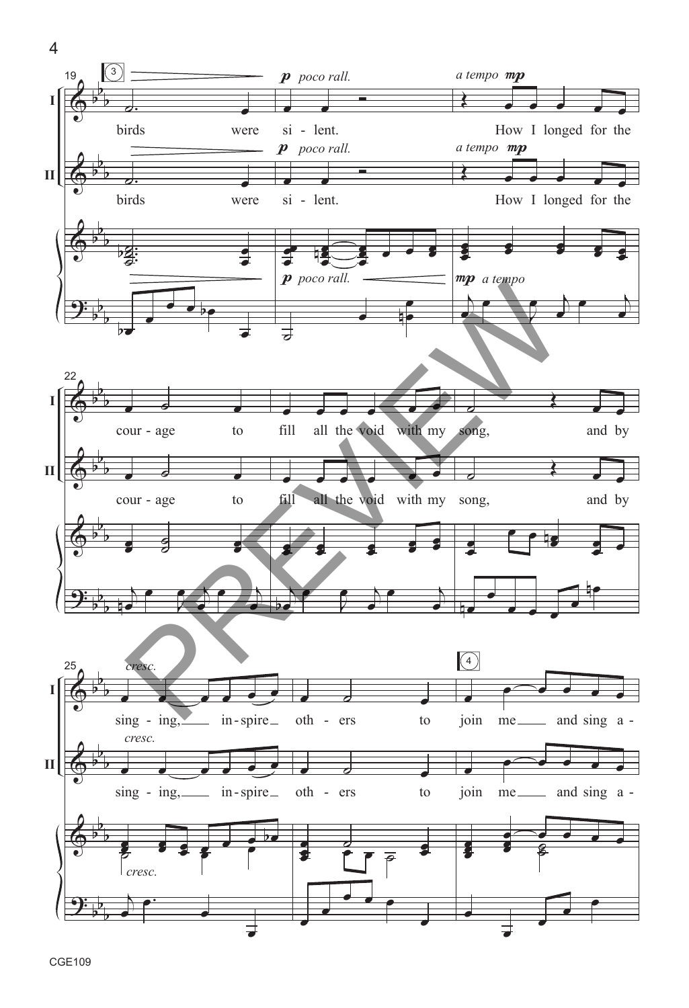